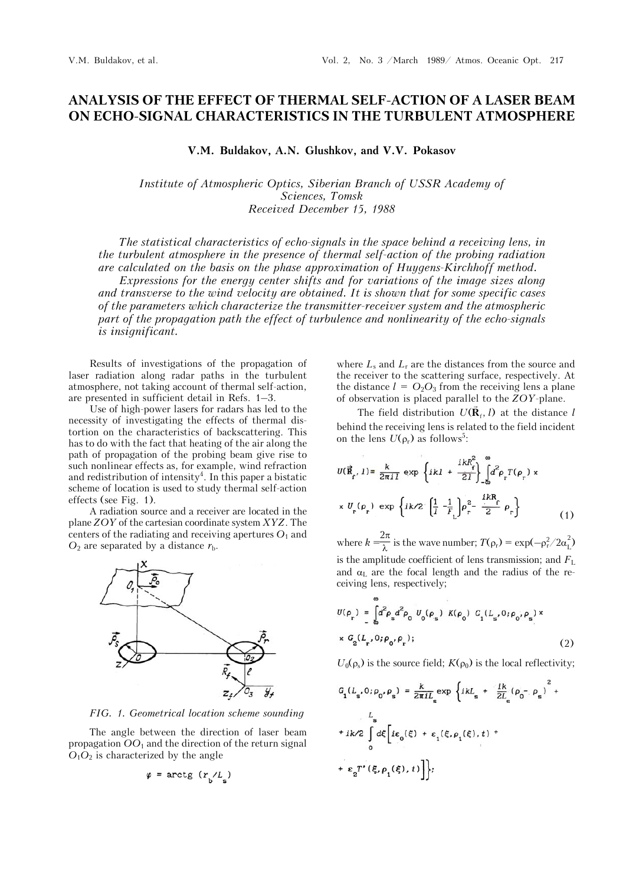## **ANALYSIS OF THE EFFECT OF THERMAL SELF-ACTION OF A LASER BEAM ON ECHO-SIGNAL CHARACTERISTICS IN THE TURBULENT ATMOSPHERE**

**V.M. Buldakov, A.N. Glushkov, and V.V. Pokasov**

*Institute of Atmospheric Optics, Siberian Branch of USSR Academy of Sciences, Tomsk Received December 15, 1988* 

*The statistical characteristics of echo-signals in the space behind a receiving lens, in the turbulent atmosphere in the presence of thermal self-action of the probing radiation are calculated on the basis on the phase approximation of Huygens-Kirchhoff method. Expressions for the energy center shifts and for variations of the image sizes along* 

*and transverse to the wind velocity are obtained. It is shown that for some specific cases of the parameters which characterize the transmitter-receiver system and the atmospheric part of the propagation path the effect of turbulence and nonlinearity of the echo-signals is insignificant.* 

Results of investigations of the propagation of laser radiation along radar paths in the turbulent atmosphere, not taking account of thermal self-action, are presented in sufficient detail in Refs. 1–3.

Use of high-power lasers for radars has led to the necessity of investigating the effects of thermal distortion on the characteristics of backscattering. This has to do with the fact that heating of the air along the path of propagation of the probing beam give rise to such nonlinear effects as, for example, wind refraction and redistribution of intensity<sup>4</sup>. In this paper a bistatic scheme of location is used to study thermal self-action effects (see Fig. 1).

A radiation source and a receiver are located in the plane *ZOY* of the cartesian coordinate system *XYZ*. The centers of the radiating and receiving apertures  $O_1$  and  $O_2$  are separated by a distance  $r_{\rm b}$ .



*FIG. 1. Geometrical location scheme sounding*

The angle between the direction of laser beam propagation *OO*1 and the direction of the return signal  $O_1O_2$  is characterized by the angle

$$
\varphi = \arctg (r_{\rm b}/L_{\rm s})
$$

where  $L_s$  and  $L_r$  are the distances from the source and the receiver to the scattering surface, respectively. At the distance  $l = O_2O_3$  from the receiving lens a plane of observation is placed parallel to the *ZOY*-plane.

The field distribution  $U(\vec{R}_f, l)$  at the distance *l* behind the receiving lens is related to the field incident on the lens  $U(\rho_r)$  as follows<sup>5</sup>:

$$
U(\vec{R}_f, 1) = \frac{k}{2\pi i I} \exp \left\{ ikl + \frac{ikR_f^2}{2I} \right\} \int_0^\infty d^2 \rho_r T(\rho_r) \times
$$
  
 
$$
\times U_r(\rho_r) \exp \left\{ ik/2 \left( \frac{1}{I} - \frac{1}{F_L} \right) \rho_r^2 - \frac{ikR_f}{2} \rho_r \right\} \tag{1}
$$

where  $k = \frac{2\pi}{\lambda}$  is the wave number;  $T(\rho_r) = \exp(-\rho_r^2/2\alpha_L^2)$ is the amplitude coefficient of lens transmission; and  $F<sub>L</sub>$ and  $\alpha_{\text{L}}$  are the focal length and the radius of the receiving lens, respectively;

$$
U(\rho_r) = \int_{\omega} d^2 \rho_{\rm g} d^2 \rho_0 U_0(\rho_{\rm s}) K(\rho_0) G_1(L_{\rm s}, 0; \rho_0, \rho_{\rm s}) \times
$$
  
 
$$
\times G_2(L_r, 0; \rho_0, \rho_r); \qquad (2)
$$

 $U_0(\rho_s)$  is the source field;  $K(\rho_0)$  is the local reflectivity;

$$
G_{1}(L_{s}, 0; \rho_{0}, \rho_{s}) = \frac{k}{2\pi i L_{s}} \exp \left\{ ikL_{s} + \frac{ik}{2L_{s}} (\rho_{0} - \rho_{s})^{2} + \frac{L_{s}}{2L_{s}} \left( \rho_{0} - \rho_{s} \right) \right\} +
$$
  
+  $ik/2 \int_{0}^{L_{s}} d\xi \left[ i\varepsilon_{0}(\xi) + \varepsilon_{1}(\xi, \rho_{1}(\xi), t) + \varepsilon_{2} T'(\xi, \rho_{1}(\xi), t) \right] \Big\};$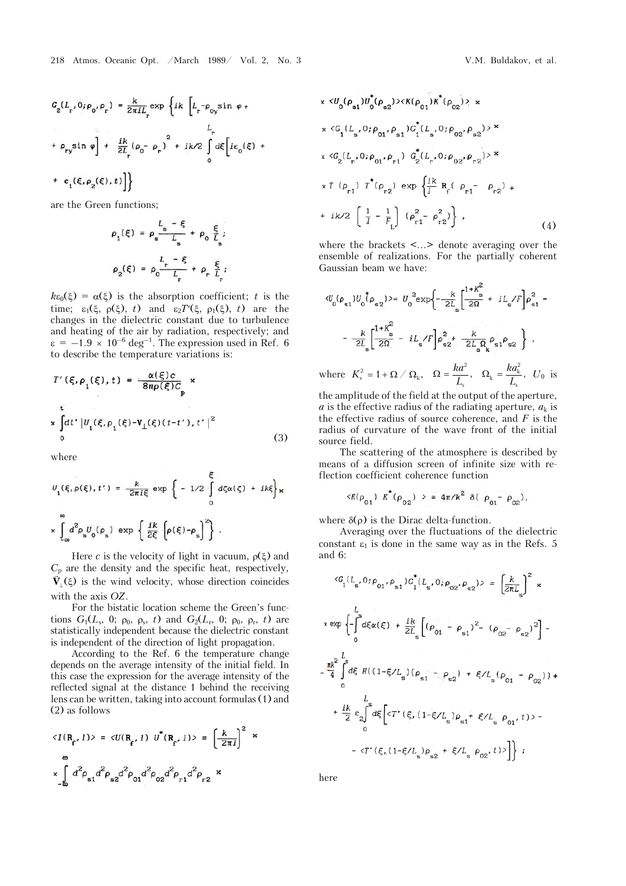are the Green functions;

$$
\rho_1(\xi) = \rho_s \frac{L_s - \xi}{L_s} + \rho_0 \frac{\xi}{L_s};
$$
  

$$
\rho_2(\xi) = \rho_0 \frac{L_r - \xi}{L_r} + \rho_r \frac{\xi}{L_r};
$$

 $k\epsilon_0(\xi) = \alpha(\xi)$  is the absorption coefficient; *t* is the time;  $\varepsilon_1(\xi, \rho(\xi), t)$  and  $\varepsilon_2 T'(\xi, \rho_1(\xi), t)$  are the changes in the dielectric constant due to turbulence and heating of the air by radiation, respectively; and  $\varepsilon = -1.9 \times 10^{-6}$  deg<sup>-1</sup>. The expression used in Ref. 6 to describe the temperature variations is:

$$
T'(\xi, \rho_1(\xi), t) = \frac{\alpha(\xi)c}{8\pi\rho(\xi)C_p} \times
$$
  
\nt  
\nx 
$$
\int_0^t dt' |U_1(\xi, \rho_1(\xi) - V_1(\xi)(t - t'), t'|^2)
$$
 (3)

where

$$
U_{1}(\xi, \rho(\xi), t') = \frac{k}{2\pi i \xi} \exp \left\{-1/2 \int_{0}^{\xi} d\zeta \alpha(\zeta) + ik\xi\right\} \times
$$

$$
\int_{-\infty}^{\infty} d^{2} \rho_{s} U_{0}(\rho_{s}) \exp \left\{\frac{ik}{2\xi} \left[\rho(\xi) - \rho_{s}\right]^{2}\right\}.
$$

Here *c* is the velocity of light in vacuum,  $\rho(\xi)$  and  $C_p$  are the density and the specific heat, respectively,  $\vec{V}_{\perp}(\xi)$  is the wind velocity, whose direction coincides with the axis *OZ*.

For the bistatic location scheme the Green's functions  $G_1(L_s, 0; \rho_0, \rho_s, t)$  and  $G_2(L_r, 0; \rho_0, \rho_r, t)$  are statistically independent because the dielectric constant is independent of the direction of light propagation.

According to the Ref. 6 the temperature change depends on the average intensity of the initial field. In this case the expression for the average intensity of the reflected signal at the distance 1 behind the receiving lens can be written, taking into account formulas (1) and (2) as follows

$$
\langle I(\mathbf{R}_{\mathbf{f}}, 1) \rangle = \langle U(\mathbf{R}_{\mathbf{f}}, 1) \ U^*(\mathbf{R}_{\mathbf{f}}, 1) \rangle = \left(\frac{k}{2\pi l}\right)^2 \times \int_{-\infty}^{\infty} d^2 \rho_{\mathbf{s}1} d^2 \rho_{\mathbf{s}2} d^2 \rho_{01} d^2 \rho_{02} d^2 \rho_{\mathbf{f}1} d^2 \rho_{\mathbf{r}2} \times
$$

x 
$$
\langle U_0(\rho_{s1})U_0(\rho_{s2})\rangle \langle K(\rho_{01})K^*(\rho_{02})\rangle
$$
 x  
\nx  $\langle G_1(L_s, 0; \rho_{01}, \rho_{s1})G_1^*(L_s, 0; \rho_{02}, \rho_{s2})\rangle$   
\nx  $\langle G_2(L_r, 0; \rho_{01}, \rho_{r1}) G_2^*(L_r, 0; \rho_{02}, \rho_{r2})\rangle$   
\nx  $T(\rho_{r1}) T^*(\rho_{r2}) \exp\{\frac{i k}{I} R_f(\rho_{r1} - \rho_{r2}) +$   
\n+ ik/2  $(\frac{1}{I} - \frac{1}{F_L}) (\rho_{r1}^2 - \rho_{r2}^2)\}$ , (4)

where the brackets <...> denote averaging over the ensemble of realizations. For the partially coherent Gaussian beam we have:

$$
\langle U_0(\rho_{s1})U_0(\rho_{s2}) \rangle = U_0^2 \exp\left\{-\frac{k}{2L_s} \left[\frac{1+K_s^2}{2\Omega} + iL_s/F\right] \rho_{s1}^2 - \frac{k}{2L_s} \left[\frac{1+K_s^2}{2\Omega} - iL_s/F\right] \rho_{s2}^2 + \frac{k}{2L_s} \rho_{s1} \rho_{s2} \right\},
$$

where  $K_s^2 = 1 + \Omega / \Omega_k$ ,  $\Omega = \frac{ka^2}{L}$ s  $\Omega = \frac{ka^2}{L_{\rm s}}, \quad \Omega_{\rm k} = \frac{ka_{\rm k}^2}{L_{\rm s}}$  $\Omega_{\rm k} = \frac{ka_{\rm k}^2}{L_{\rm s}}$ ,  $U_0$  is

the amplitude of the field at the output of the aperture, *a* is the effective radius of the radiating aperture,  $a_k$  is the effective radius of source coherence, and *F* is the radius of curvature of the wave front of the initial source field.

The scattering of the atmosphere is described by means of a diffusion screen of infinite size with reflection coefficient coherence function

$$
\langle K(\rho_{01}) K^*(\rho_{02}) \rangle = 4\pi/k^2 \delta(\rho_{01} - \rho_{02}),
$$

where  $\delta(\rho)$  is the Dirac delta-function.

Averaging over the fluctuations of the dielectric constant  $\varepsilon_1$  is done in the same way as in the Refs. 5 and 6:

$$
\langle G_{1}(L_{s}, 0; \rho_{01}, \rho_{s1}) G_{1}^{*}(L_{s}, 0; \rho_{02}, \rho_{s2}) \rangle = \left[ \frac{k}{2\pi L_{s}} \right]^{2} \times
$$
  
\n
$$
x \exp \left\{ - \int_{0}^{L} d\xi \alpha(\xi) + \frac{ik}{2L_{s}} \left[ (\rho_{01} - \rho_{s1})^{2} - (\rho_{02} - \rho_{s2})^{2} \right] - \frac{1}{4} \int_{0}^{L} d\xi \, H((1-\xi/L_{s})(\rho_{s1} - \rho_{s2}) + \xi/L_{s}(\rho_{01} - \rho_{02})) + \frac{L}{2} \sum_{0}^{L} d\xi \left[ \langle T'( \xi, (1-\xi/L_{s}) \rho_{s1} + \xi/L_{s} \rho_{01}, t) \rangle - \frac{L}{2} \sum_{i=0}^{L} d\xi \right] \langle T'( \xi, (1-\xi/L_{s}) \rho_{s2} + \xi/L_{s} \rho_{02}, t) \rangle \right\} ;
$$

here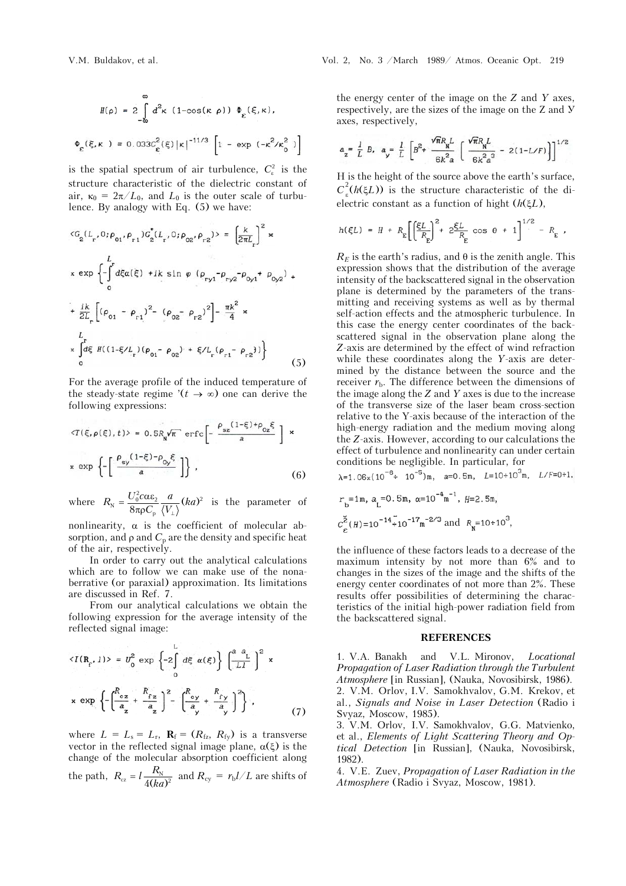$$
H(\rho) = 2 \int_{-\infty}^{\infty} d^{2} \kappa (1 - \cos(\kappa \rho)) \Phi_{\varepsilon}(\xi, \kappa),
$$
  

$$
\Phi_{\varepsilon}(\xi, \kappa) = 0.033 c_{\varepsilon}^{2}(\xi) |\kappa|^{-11/3} \left[ 1 - \exp(-\kappa^{2}/\kappa_{0}^{2}) \right]
$$

is the spatial spectrum of air turbulence,  $C_{\varepsilon}^2$  is the structure characteristic of the dielectric constant of air,  $\kappa_0 = 2\pi/L_0$ , and  $L_0$  is the outer scale of turbulence. By analogy with Eq. (5) we have:

$$
\langle G_2(L_r, 0; \rho_{01}, \rho_{r1}) G_2^*(L_r, 0; \rho_{02}, \rho_{r2}) \rangle = \left[\frac{k}{2\pi L_r}\right]^2 \times
$$
  
\n
$$
\times \exp \left\{-\int_0^L d\xi \alpha(\xi) + ik \sin \varphi \left(\rho_{ryl} - \rho_{ryl} - \rho_{0yl} + \rho_{0yl}\right) + \frac{ik}{2L_r} \left[ (\rho_{01} - \rho_{r1})^2 - (\rho_{02} - \rho_{r2})^2 \right] - \frac{\pi k^2}{4} \times
$$
  
\n
$$
\times \int_0^L \xi \frac{d\xi}{dt} H(1 - \xi/L_r) (\rho_{01} - \rho_{02}) + \xi/L_r (\rho_{r1} - \rho_{r2}) \Big\} \tag{5}
$$

For the average profile of the induced temperature of the steady-state regime  $($ *t*  $\rightarrow \infty)$  one can derive the following expressions:

$$
\langle T(\xi, \rho(\xi), t) \rangle = 0.5R_{\mathbf{N}} \sqrt{\pi} \text{ erfc} \left[ -\frac{\rho_{\mathbf{sz}} (1-\xi) + \rho_{0z} \xi}{a} \right] \times
$$
  
 
$$
\times \exp \left\{ -\left[ \frac{\rho_{\mathbf{sy}} (1-\xi) - \rho_{0y} \xi}{a} \right] \right\}, \tag{6}
$$

where  $R_{\text{N}} = \frac{U_0^2 c \alpha \varepsilon_2}{8 \pi \rho C_{\text{p}}} \frac{a}{\langle V_{\perp} \rangle} (ka)^2$  $=\frac{U_0^2 c \alpha \epsilon_2}{8 \pi \rho C_p} \frac{a}{\langle V_{\perp} \rangle} (ka)^2$  is the parameter of

nonlinearity,  $\alpha$  is the coefficient of molecular absorption, and  $\rho$  and  $C_p$  are the density and specific heat of the air, respectively.

In order to carry out the analytical calculations which are to follow we can make use of the nonaberrative (or paraxial) approximation. Its limitations are discussed in Ref. 7.

From our analytical calculations we obtain the following expression for the average intensity of the reflected signal image:

$$
\langle I(R_f, 1) \rangle = U_0^2 \exp \left\{-2 \int_0^L d\xi \alpha(\xi) \right\} \left[ \frac{a a_L}{L} \right]^2 \times
$$
  
x  $\exp \left\{-\left( \frac{R_{cz}}{a_z} + \frac{R_{rz}}{a_z} \right)^2 - \left( \frac{R_{cy}}{a_y} + \frac{R_{ry}}{a_y} \right)^2 \right\},$  (7)

where  $L = L_s = L_r$ ,  $\mathbf{R}_f = (R_{fz}, R_{fy})$  is a transverse vector in the reflected signal image plane,  $\alpha(\xi)$  is the change of the molecular absorption coefficient along the path,  $R_{cz} = l \frac{R_N}{4(ka)^2}$  and  $R_{cy} = r_b l / L$  are shifts of the energy center of the image on the *Z* and *Y* axes, respectively, are the sizes of the image on the Z and Y axes, respectively,

$$
a_{z} = \frac{l}{L} B, \quad a_{y} = \frac{l}{L} \left[ B^{2} + \frac{\sqrt{\pi} R_{N} L}{6k^{2} a} \left( \frac{\sqrt{\pi} R_{N} L}{6k^{2} a^{3}} - 2(1 - L/F) \right) \right]^{1/2}
$$

H is the height of the source above the earth's surface,  $C<sub>\varepsilon</sub><sup>2</sup>(h(\xi L))$  is the structure characteristic of the dielectric constant as a function of hight  $(h(\xi L))$ ,

$$
h(\xi L) = H + R_{\rm E} \left[ \left( \frac{\xi L}{R_{\rm E}} \right)^2 + 2 \frac{\xi L}{R_{\rm E}} \cos \theta + 1 \right]^{1/2} - R_{\rm E} ,
$$

 $R<sub>E</sub>$  is the earth's radius, and  $\theta$  is the zenith angle. This expression shows that the distribution of the average intensity of the backscattered signal in the observation plane is determined by the parameters of the transmitting and receiving systems as well as by thermal self-action effects and the atmospheric turbulence. In this case the energy center coordinates of the backscattered signal in the observation plane along the *Z*-axis are determined by the effect of wind refraction while these coordinates along the *Y*-axis are determined by the distance between the source and the receiver  $r_{\rm b}$ . The difference between the dimensions of the image along the *Z* and *Y* axes is due to the increase of the transverse size of the laser beam cross-section relative to the Y-axis because of the interaction of the high-energy radiation and the medium moving along the *Z*-axis. However, according to our calculations the effect of turbulence and nonlinearity can under certain conditions be negligible. In particular, for  $\lambda = 1.06 \times (10^{-6} \div 10^{-5})$  m, a=0.5m, L=10÷10<sup>3</sup>m, L/F=0÷1,

$$
r_b
$$
=1m,  $a_c$ =0.5m,  $\alpha$ =10<sup>-4</sup>m<sup>-1</sup>,  $H$ =2.5m,  
 $c_e^2(H)$ =10<sup>-14</sup>+10<sup>-17</sup>m<sup>-2/3</sup> and  $R_n$ =10±10<sup>3</sup>,

the influence of these factors leads to a decrease of the maximum intensity by not more than 6% and to changes in the sizes of the image and the shifts of the energy center coordinates of not more than 2%. These results offer possibilities of determining the characteristics of the initial high-power radiation field from the backscattered signal.

## **REFERENCES**

1. V.A. Banakh and V.L. Mironov, *Locational Propagation of Laser Radiation through the Turbulent Atmosphere* [in Russian], (Nauka, Novosibirsk, 1986). 2. V.M. Orlov, I.V. Samokhvalov, G.M. Krekov, et al., *Signals and Noise in Laser Detection* (Radio i Svyaz, Moscow, 1985).

3. V.M. Orlov, I.V. Samokhvalov, G.G. Matvienko, et al., *Elements of Light Scattering Theory and Optical Detection* [in Russian], (Nauka, Novosibirsk, 1982).

4. V.E. Zuev, *Propagation of Laser Radiation in the Atmosphere* (Radio i Svyaz, Moscow, 1981).